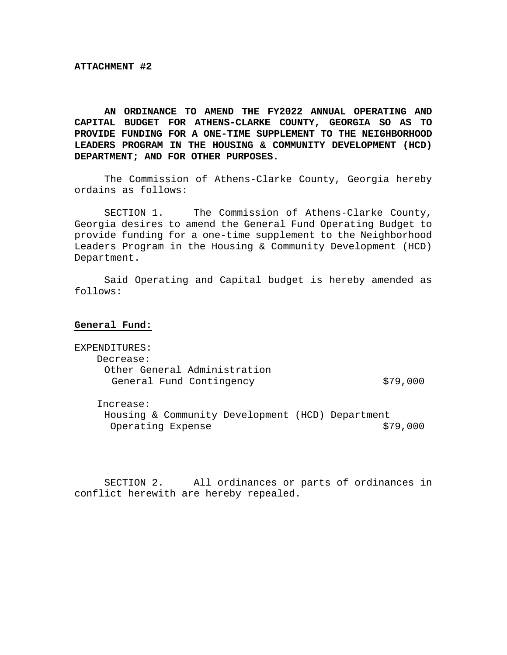**AN ORDINANCE TO AMEND THE FY2022 ANNUAL OPERATING AND CAPITAL BUDGET FOR ATHENS-CLARKE COUNTY, GEORGIA SO AS TO PROVIDE FUNDING FOR A ONE-TIME SUPPLEMENT TO THE NEIGHBORHOOD LEADERS PROGRAM IN THE HOUSING & COMMUNITY DEVELOPMENT (HCD) DEPARTMENT; AND FOR OTHER PURPOSES.** 

 The Commission of Athens-Clarke County, Georgia hereby ordains as follows:

 SECTION 1. The Commission of Athens-Clarke County, Georgia desires to amend the General Fund Operating Budget to provide funding for a one-time supplement to the Neighborhood Leaders Program in the Housing & Community Development (HCD) Department.

Said Operating and Capital budget is hereby amended as follows:

**General Fund:** 

EXPENDITURES: Decrease: Other General Administration General Fund Contingency 679,000

Increase:

 Housing & Community Development (HCD) Department Operating Expense  $$79,000$ 

SECTION 2. All ordinances or parts of ordinances in conflict herewith are hereby repealed.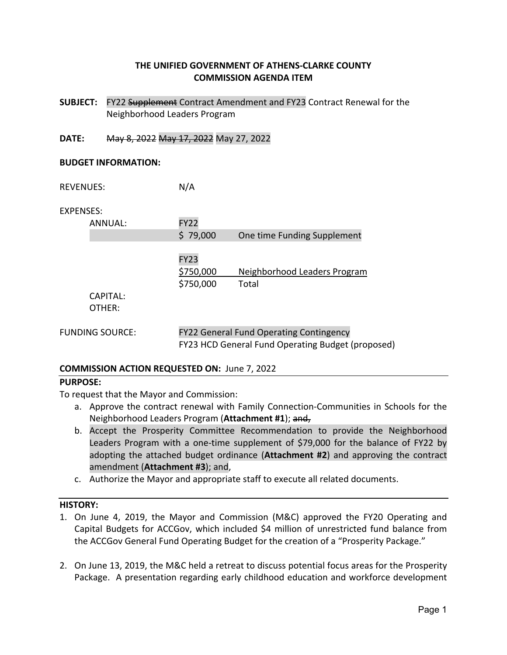# **THE UNIFIED GOVERNMENT OF ATHENS‐CLARKE COUNTY COMMISSION AGENDA ITEM**

- **SUBJECT:**  FY22 Supplement Contract Amendment and FY23 Contract Renewal for the Neighborhood Leaders Program
- **DATE:**  May 8, 2022 May 17, 2022 May 27, 2022

#### **BUDGET INFORMATION:**

REVENUES: N/A

EXPENSES:

| ANNUAL:                | <b>FY22</b>                                       |                                       |  |
|------------------------|---------------------------------------------------|---------------------------------------|--|
|                        | \$79,000                                          | One time Funding Supplement           |  |
|                        | <b>FY23</b><br>\$750,000<br>\$750,000             | Neighborhood Leaders Program<br>Total |  |
| CAPITAL:               |                                                   |                                       |  |
| OTHER:                 |                                                   |                                       |  |
| <b>FUNDING SOURCE:</b> | <b>FY22 General Fund Operating Contingency</b>    |                                       |  |
|                        | FY23 HCD General Fund Operating Budget (proposed) |                                       |  |

#### **COMMISSION ACTION REQUESTED ON:** June 7, 2022

#### **PURPOSE:**

To request that the Mayor and Commission:

- a. Approve the contract renewal with Family Connection‐Communities in Schools for the Neighborhood Leaders Program (**Attachment #1**); and,
- b. Accept the Prosperity Committee Recommendation to provide the Neighborhood Leaders Program with a one-time supplement of \$79,000 for the balance of FY22 by adopting the attached budget ordinance (**Attachment #2**) and approving the contract amendment (**Attachment #3**); and,
- c. Authorize the Mayor and appropriate staff to execute all related documents.

#### **HISTORY:**

- 1. On June 4, 2019, the Mayor and Commission (M&C) approved the FY20 Operating and Capital Budgets for ACCGov, which included \$4 million of unrestricted fund balance from the ACCGov General Fund Operating Budget for the creation of a "Prosperity Package."
- 2. On June 13, 2019, the M&C held a retreat to discuss potential focus areas for the Prosperity Package. A presentation regarding early childhood education and workforce development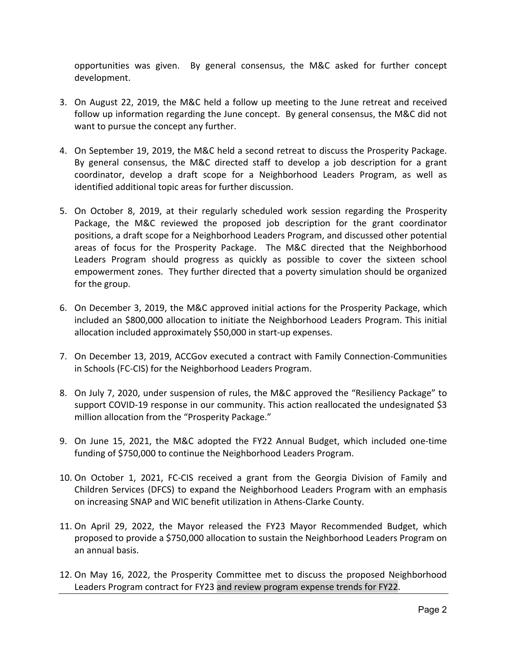opportunities was given. By general consensus, the M&C asked for further concept development.

- 3. On August 22, 2019, the M&C held a follow up meeting to the June retreat and received follow up information regarding the June concept. By general consensus, the M&C did not want to pursue the concept any further.
- 4. On September 19, 2019, the M&C held a second retreat to discuss the Prosperity Package. By general consensus, the M&C directed staff to develop a job description for a grant coordinator, develop a draft scope for a Neighborhood Leaders Program, as well as identified additional topic areas for further discussion.
- 5. On October 8, 2019, at their regularly scheduled work session regarding the Prosperity Package, the M&C reviewed the proposed job description for the grant coordinator positions, a draft scope for a Neighborhood Leaders Program, and discussed other potential areas of focus for the Prosperity Package. The M&C directed that the Neighborhood Leaders Program should progress as quickly as possible to cover the sixteen school empowerment zones. They further directed that a poverty simulation should be organized for the group.
- 6. On December 3, 2019, the M&C approved initial actions for the Prosperity Package, which included an \$800,000 allocation to initiate the Neighborhood Leaders Program. This initial allocation included approximately \$50,000 in start‐up expenses.
- 7. On December 13, 2019, ACCGov executed a contract with Family Connection‐Communities in Schools (FC‐CIS) for the Neighborhood Leaders Program.
- 8. On July 7, 2020, under suspension of rules, the M&C approved the "Resiliency Package" to support COVID-19 response in our community. This action reallocated the undesignated \$3 million allocation from the "Prosperity Package."
- 9. On June 15, 2021, the M&C adopted the FY22 Annual Budget, which included one-time funding of \$750,000 to continue the Neighborhood Leaders Program.
- 10. On October 1, 2021, FC‐CIS received a grant from the Georgia Division of Family and Children Services (DFCS) to expand the Neighborhood Leaders Program with an emphasis on increasing SNAP and WIC benefit utilization in Athens‐Clarke County.
- 11. On April 29, 2022, the Mayor released the FY23 Mayor Recommended Budget, which proposed to provide a \$750,000 allocation to sustain the Neighborhood Leaders Program on an annual basis.
- 12. On May 16, 2022, the Prosperity Committee met to discuss the proposed Neighborhood Leaders Program contract for FY23 and review program expense trends for FY22.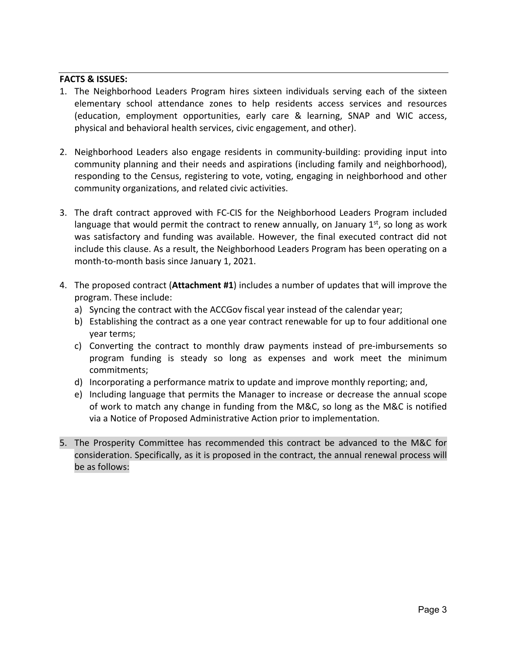### **FACTS & ISSUES:**

- 1. The Neighborhood Leaders Program hires sixteen individuals serving each of the sixteen elementary school attendance zones to help residents access services and resources (education, employment opportunities, early care & learning, SNAP and WIC access, physical and behavioral health services, civic engagement, and other).
- 2. Neighborhood Leaders also engage residents in community-building: providing input into community planning and their needs and aspirations (including family and neighborhood), responding to the Census, registering to vote, voting, engaging in neighborhood and other community organizations, and related civic activities.
- 3. The draft contract approved with FC‐CIS for the Neighborhood Leaders Program included language that would permit the contract to renew annually, on January  $1<sup>st</sup>$ , so long as work was satisfactory and funding was available. However, the final executed contract did not include this clause. As a result, the Neighborhood Leaders Program has been operating on a month‐to‐month basis since January 1, 2021.
- 4. The proposed contract (**Attachment #1**) includes a number of updates that will improve the program. These include:
	- a) Syncing the contract with the ACCGov fiscal year instead of the calendar year;
	- b) Establishing the contract as a one year contract renewable for up to four additional one year terms;
	- c) Converting the contract to monthly draw payments instead of pre‐imbursements so program funding is steady so long as expenses and work meet the minimum commitments;
	- d) Incorporating a performance matrix to update and improve monthly reporting; and,
	- e) Including language that permits the Manager to increase or decrease the annual scope of work to match any change in funding from the M&C, so long as the M&C is notified via a Notice of Proposed Administrative Action prior to implementation.
- 5. The Prosperity Committee has recommended this contract be advanced to the M&C for consideration. Specifically, as it is proposed in the contract, the annual renewal process will be as follows: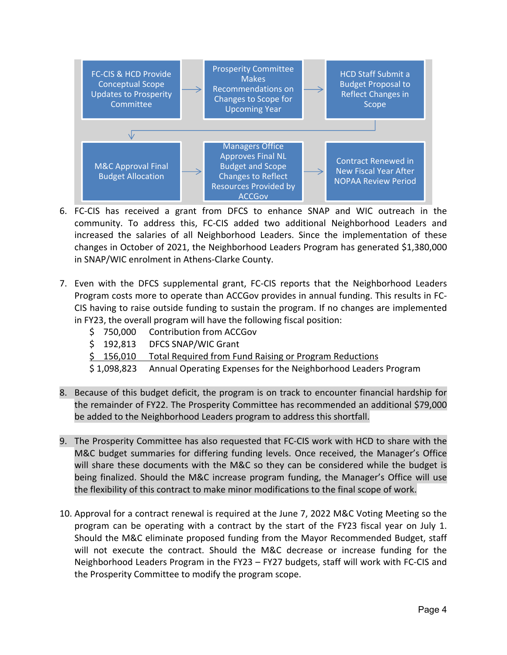

- 6. FC‐CIS has received a grant from DFCS to enhance SNAP and WIC outreach in the community. To address this, FC‐CIS added two additional Neighborhood Leaders and increased the salaries of all Neighborhood Leaders. Since the implementation of these changes in October of 2021, the Neighborhood Leaders Program has generated \$1,380,000 in SNAP/WIC enrolment in Athens‐Clarke County.
- 7. Even with the DFCS supplemental grant, FC-CIS reports that the Neighborhood Leaders Program costs more to operate than ACCGov provides in annual funding. This results in FC‐ CIS having to raise outside funding to sustain the program. If no changes are implemented in FY23, the overall program will have the following fiscal position:

|  | \$750,000 Contribution from ACCGov                                         |
|--|----------------------------------------------------------------------------|
|  | \$192,813 DFCS SNAP/WIC Grant                                              |
|  | \$156,010 Total Required from Fund Raising or Program Reductions           |
|  | \$1,098,823 Annual Operating Expenses for the Neighborhood Leaders Program |

- 8. Because of this budget deficit, the program is on track to encounter financial hardship for the remainder of FY22. The Prosperity Committee has recommended an additional \$79,000 be added to the Neighborhood Leaders program to address this shortfall.
- 9. The Prosperity Committee has also requested that FC‐CIS work with HCD to share with the M&C budget summaries for differing funding levels. Once received, the Manager's Office will share these documents with the M&C so they can be considered while the budget is being finalized. Should the M&C increase program funding, the Manager's Office will use the flexibility of this contract to make minor modifications to the final scope of work.
- 10. Approval for a contract renewal is required at the June 7, 2022 M&C Voting Meeting so the program can be operating with a contract by the start of the FY23 fiscal year on July 1. Should the M&C eliminate proposed funding from the Mayor Recommended Budget, staff will not execute the contract. Should the M&C decrease or increase funding for the Neighborhood Leaders Program in the FY23 – FY27 budgets, staff will work with FC‐CIS and the Prosperity Committee to modify the program scope.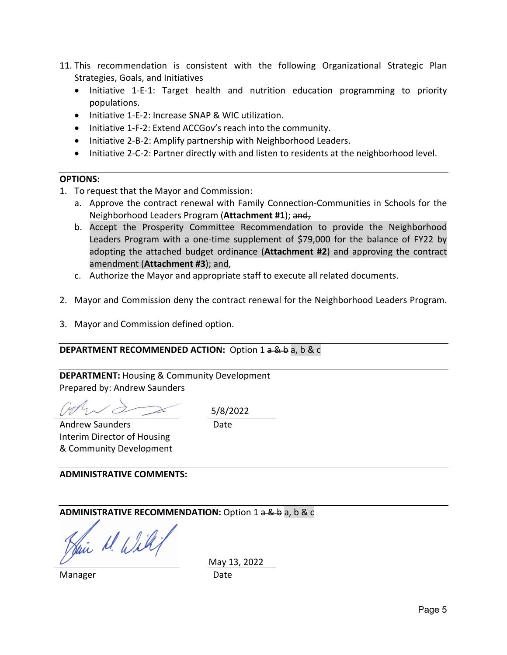- 11. This recommendation is consistent with the following Organizational Strategic Plan Strategies, Goals, and Initiatives
	- Initiative 1-E-1: Target health and nutrition education programming to priority populations.
	- Initiative 1-E-2: Increase SNAP & WIC utilization.
	- Initiative 1-F-2: Extend ACCGov's reach into the community.
	- Initiative 2-B-2: Amplify partnership with Neighborhood Leaders.
	- Initiative 2-C-2: Partner directly with and listen to residents at the neighborhood level.

#### **OPTIONS:**

- 1. To request that the Mayor and Commission:
	- a. Approve the contract renewal with Family Connection‐Communities in Schools for the Neighborhood Leaders Program (**Attachment #1**); and,
	- b. Accept the Prosperity Committee Recommendation to provide the Neighborhood Leaders Program with a one-time supplement of \$79,000 for the balance of FY22 by adopting the attached budget ordinance (**Attachment #2**) and approving the contract amendment (**Attachment #3**); and,
	- c. Authorize the Mayor and appropriate staff to execute all related documents.
- 2. Mayor and Commission deny the contract renewal for the Neighborhood Leaders Program.
- 3. Mayor and Commission defined option.

#### **DEPARTMENT RECOMMENDED ACTION:** Option 1 a & b a, b & c

**DEPARTMENT:** Housing & Community Development Prepared by: Andrew Saunders

5/8/2022

Date

Andrew Saunders Interim Director of Housing & Community Development

**ADMINISTRATIVE COMMENTS:** 

**ADMINISTRATIVE RECOMMENDATION:** Option 1 a & b a, b & c

Sui M. Will

Manager Date

May 13, 2022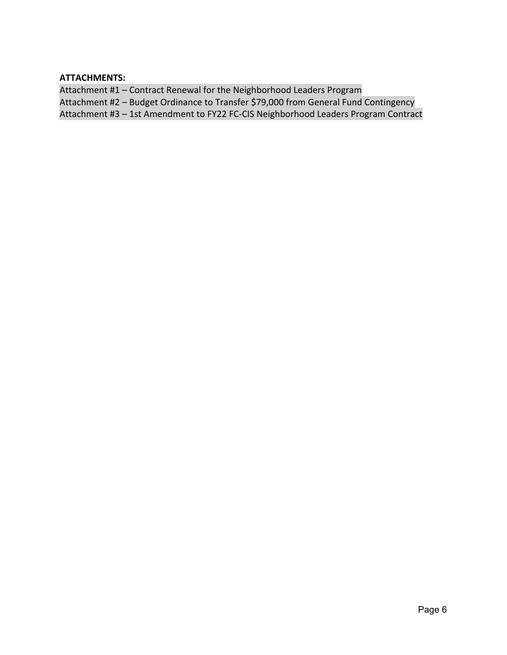**ATTACHMENTS:** 

Attachment #1 – Contract Renewal for the Neighborhood Leaders Program Attachment #2 – Budget Ordinance to Transfer \$79,000 from General Fund Contingency Attachment #3 – 1st Amendment to FY22 FC‐CIS Neighborhood Leaders Program Contract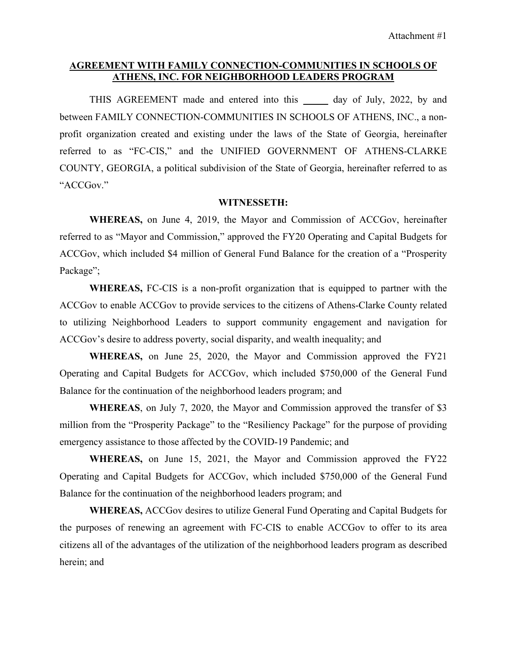### **AGREEMENT WITH FAMILY CONNECTION-COMMUNITIES IN SCHOOLS OF ATHENS, INC. FOR NEIGHBORHOOD LEADERS PROGRAM**

THIS AGREEMENT made and entered into this \_\_\_\_\_ day of July, 2022, by and between FAMILY CONNECTION-COMMUNITIES IN SCHOOLS OF ATHENS, INC., a nonprofit organization created and existing under the laws of the State of Georgia, hereinafter referred to as "FC-CIS," and the UNIFIED GOVERNMENT OF ATHENS-CLARKE COUNTY, GEORGIA, a political subdivision of the State of Georgia, hereinafter referred to as "ACCGov."

#### **WITNESSETH:**

**WHEREAS,** on June 4, 2019, the Mayor and Commission of ACCGov, hereinafter referred to as "Mayor and Commission," approved the FY20 Operating and Capital Budgets for ACCGov, which included \$4 million of General Fund Balance for the creation of a "Prosperity Package";

**WHEREAS,** FC-CIS is a non-profit organization that is equipped to partner with the ACCGov to enable ACCGov to provide services to the citizens of Athens-Clarke County related to utilizing Neighborhood Leaders to support community engagement and navigation for ACCGov's desire to address poverty, social disparity, and wealth inequality; and

**WHEREAS,** on June 25, 2020, the Mayor and Commission approved the FY21 Operating and Capital Budgets for ACCGov, which included \$750,000 of the General Fund Balance for the continuation of the neighborhood leaders program; and

**WHEREAS**, on July 7, 2020, the Mayor and Commission approved the transfer of \$3 million from the "Prosperity Package" to the "Resiliency Package" for the purpose of providing emergency assistance to those affected by the COVID-19 Pandemic; and

**WHEREAS,** on June 15, 2021, the Mayor and Commission approved the FY22 Operating and Capital Budgets for ACCGov, which included \$750,000 of the General Fund Balance for the continuation of the neighborhood leaders program; and

**WHEREAS,** ACCGov desires to utilize General Fund Operating and Capital Budgets for the purposes of renewing an agreement with FC-CIS to enable ACCGov to offer to its area citizens all of the advantages of the utilization of the neighborhood leaders program as described herein; and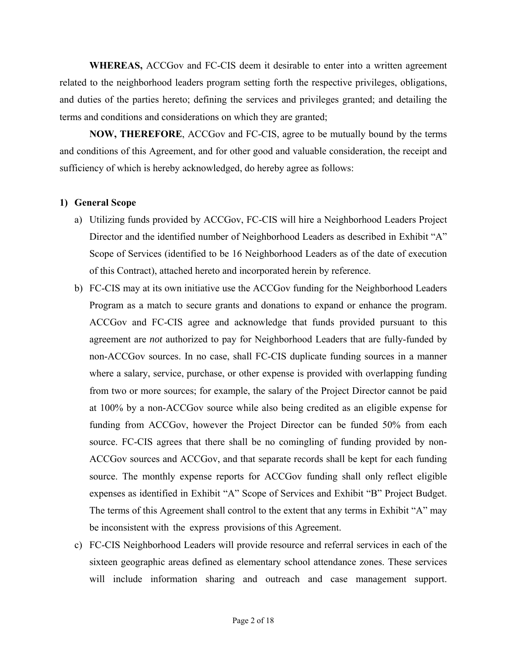**WHEREAS,** ACCGov and FC-CIS deem it desirable to enter into a written agreement related to the neighborhood leaders program setting forth the respective privileges, obligations, and duties of the parties hereto; defining the services and privileges granted; and detailing the terms and conditions and considerations on which they are granted;

**NOW, THEREFORE**, ACCGov and FC-CIS, agree to be mutually bound by the terms and conditions of this Agreement, and for other good and valuable consideration, the receipt and sufficiency of which is hereby acknowledged, do hereby agree as follows:

#### **1) General Scope**

- a) Utilizing funds provided by ACCGov, FC-CIS will hire a Neighborhood Leaders Project Director and the identified number of Neighborhood Leaders as described in Exhibit "A" Scope of Services (identified to be 16 Neighborhood Leaders as of the date of execution of this Contract), attached hereto and incorporated herein by reference.
- b) FC-CIS may at its own initiative use the ACCGov funding for the Neighborhood Leaders Program as a match to secure grants and donations to expand or enhance the program. ACCGov and FC-CIS agree and acknowledge that funds provided pursuant to this agreement are *not* authorized to pay for Neighborhood Leaders that are fully-funded by non-ACCGov sources. In no case, shall FC-CIS duplicate funding sources in a manner where a salary, service, purchase, or other expense is provided with overlapping funding from two or more sources; for example, the salary of the Project Director cannot be paid at 100% by a non-ACCGov source while also being credited as an eligible expense for funding from ACCGov, however the Project Director can be funded 50% from each source. FC-CIS agrees that there shall be no comingling of funding provided by non-ACCGov sources and ACCGov, and that separate records shall be kept for each funding source. The monthly expense reports for ACCGov funding shall only reflect eligible expenses as identified in Exhibit "A" Scope of Services and Exhibit "B" Project Budget. The terms of this Agreement shall control to the extent that any terms in Exhibit "A" may be inconsistent with the express provisions of this Agreement.
- c) FC-CIS Neighborhood Leaders will provide resource and referral services in each of the sixteen geographic areas defined as elementary school attendance zones. These services will include information sharing and outreach and case management support.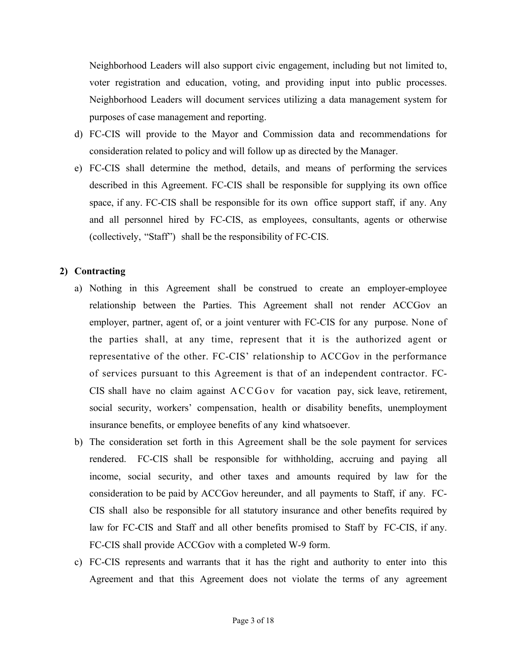Neighborhood Leaders will also support civic engagement, including but not limited to, voter registration and education, voting, and providing input into public processes. Neighborhood Leaders will document services utilizing a data management system for purposes of case management and reporting.

- d) FC-CIS will provide to the Mayor and Commission data and recommendations for consideration related to policy and will follow up as directed by the Manager.
- e) FC-CIS shall determine the method, details, and means of performing the services described in this Agreement. FC-CIS shall be responsible for supplying its own office space, if any. FC-CIS shall be responsible for its own office support staff, if any. Any and all personnel hired by FC-CIS, as employees, consultants, agents or otherwise (collectively, "Staff") shall be the responsibility of FC-CIS.

## **2) Contracting**

- a) Nothing in this Agreement shall be construed to create an employer-employee relationship between the Parties. This Agreement shall not render ACCGov an employer, partner, agent of, or a joint venturer with FC-CIS for any purpose. None of the parties shall, at any time, represent that it is the authorized agent or representative of the other. FC-CIS' relationship to ACCGov in the performance of services pursuant to this Agreement is that of an independent contractor. FC-CIS shall have no claim against  $ACCGov$  for vacation pay, sick leave, retirement, social security, workers' compensation, health or disability benefits, unemployment insurance benefits, or employee benefits of any kind whatsoever.
- b) The consideration set forth in this Agreement shall be the sole payment for services rendered. FC-CIS shall be responsible for withholding, accruing and paying all income, social security, and other taxes and amounts required by law for the consideration to be paid by ACCGov hereunder, and all payments to Staff, if any. FC-CIS shall also be responsible for all statutory insurance and other benefits required by law for FC-CIS and Staff and all other benefits promised to Staff by FC-CIS, if any. FC-CIS shall provide ACCGov with a completed W-9 form.
- c) FC-CIS represents and warrants that it has the right and authority to enter into this Agreement and that this Agreement does not violate the terms of any agreement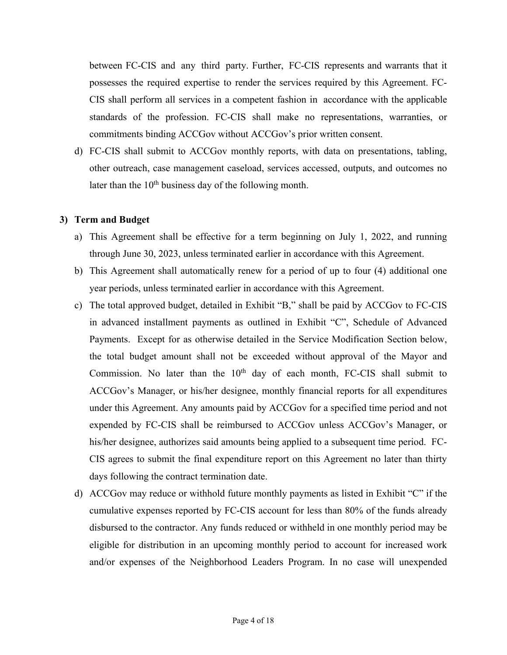between FC-CIS and any third party. Further, FC-CIS represents and warrants that it possesses the required expertise to render the services required by this Agreement. FC-CIS shall perform all services in a competent fashion in accordance with the applicable standards of the profession. FC-CIS shall make no representations, warranties, or commitments binding ACCGov without ACCGov's prior written consent.

d) FC-CIS shall submit to ACCGov monthly reports, with data on presentations, tabling, other outreach, case management caseload, services accessed, outputs, and outcomes no later than the  $10<sup>th</sup>$  business day of the following month.

#### **3) Term and Budget**

- a) This Agreement shall be effective for a term beginning on July 1, 2022, and running through June 30, 2023, unless terminated earlier in accordance with this Agreement.
- b) This Agreement shall automatically renew for a period of up to four (4) additional one year periods, unless terminated earlier in accordance with this Agreement.
- c) The total approved budget, detailed in Exhibit "B," shall be paid by ACCGov to FC-CIS in advanced installment payments as outlined in Exhibit "C", Schedule of Advanced Payments. Except for as otherwise detailed in the Service Modification Section below, the total budget amount shall not be exceeded without approval of the Mayor and Commission. No later than the  $10<sup>th</sup>$  day of each month, FC-CIS shall submit to ACCGov's Manager, or his/her designee, monthly financial reports for all expenditures under this Agreement. Any amounts paid by ACCGov for a specified time period and not expended by FC-CIS shall be reimbursed to ACCGov unless ACCGov's Manager, or his/her designee, authorizes said amounts being applied to a subsequent time period. FC-CIS agrees to submit the final expenditure report on this Agreement no later than thirty days following the contract termination date.
- d) ACCGov may reduce or withhold future monthly payments as listed in Exhibit "C" if the cumulative expenses reported by FC-CIS account for less than 80% of the funds already disbursed to the contractor. Any funds reduced or withheld in one monthly period may be eligible for distribution in an upcoming monthly period to account for increased work and/or expenses of the Neighborhood Leaders Program. In no case will unexpended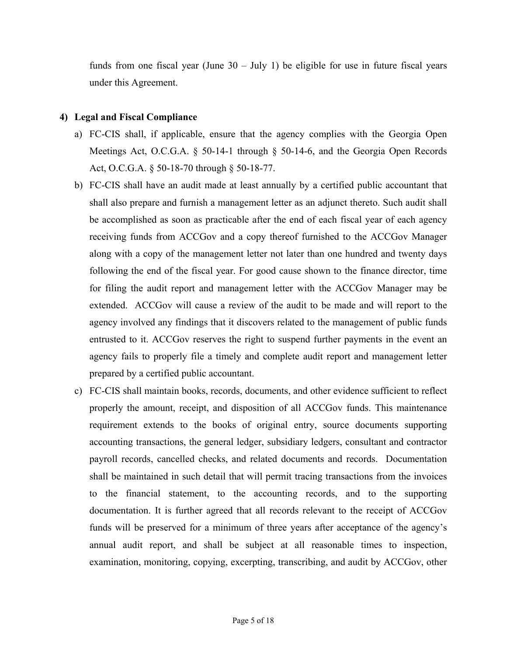funds from one fiscal year (June  $30 -$  July 1) be eligible for use in future fiscal years under this Agreement.

### **4) Legal and Fiscal Compliance**

- a) FC-CIS shall, if applicable, ensure that the agency complies with the Georgia Open Meetings Act, O.C.G.A.  $\S$  50-14-1 through  $\S$  50-14-6, and the Georgia Open Records Act, O.C.G.A. § 50-18-70 through § 50-18-77.
- b) FC-CIS shall have an audit made at least annually by a certified public accountant that shall also prepare and furnish a management letter as an adjunct thereto. Such audit shall be accomplished as soon as practicable after the end of each fiscal year of each agency receiving funds from ACCGov and a copy thereof furnished to the ACCGov Manager along with a copy of the management letter not later than one hundred and twenty days following the end of the fiscal year. For good cause shown to the finance director, time for filing the audit report and management letter with the ACCGov Manager may be extended. ACCGov will cause a review of the audit to be made and will report to the agency involved any findings that it discovers related to the management of public funds entrusted to it. ACCGov reserves the right to suspend further payments in the event an agency fails to properly file a timely and complete audit report and management letter prepared by a certified public accountant.
- c) FC-CIS shall maintain books, records, documents, and other evidence sufficient to reflect properly the amount, receipt, and disposition of all ACCGov funds. This maintenance requirement extends to the books of original entry, source documents supporting accounting transactions, the general ledger, subsidiary ledgers, consultant and contractor payroll records, cancelled checks, and related documents and records. Documentation shall be maintained in such detail that will permit tracing transactions from the invoices to the financial statement, to the accounting records, and to the supporting documentation. It is further agreed that all records relevant to the receipt of ACCGov funds will be preserved for a minimum of three years after acceptance of the agency's annual audit report, and shall be subject at all reasonable times to inspection, examination, monitoring, copying, excerpting, transcribing, and audit by ACCGov, other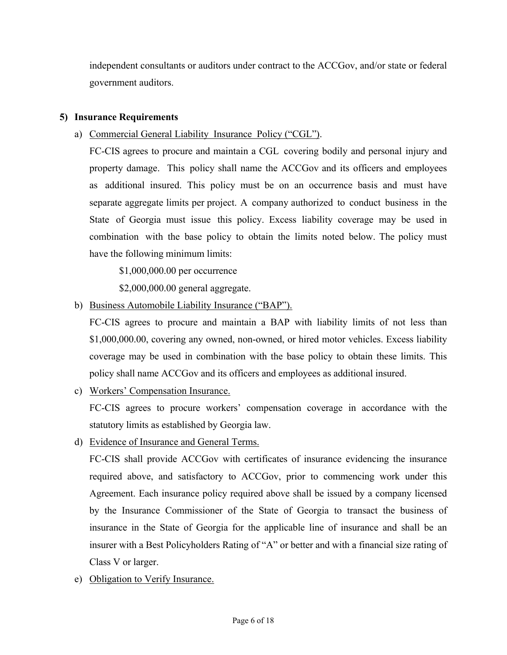independent consultants or auditors under contract to the ACCGov, and/or state or federal government auditors.

# **5) Insurance Requirements**

a) Commercial General Liability Insurance Policy ("CGL").

FC-CIS agrees to procure and maintain a CGL covering bodily and personal injury and property damage. This policy shall name the ACCGov and its officers and employees as additional insured. This policy must be on an occurrence basis and must have separate aggregate limits per project. A company authorized to conduct business in the State of Georgia must issue this policy. Excess liability coverage may be used in combination with the base policy to obtain the limits noted below. The policy must have the following minimum limits:

\$1,000,000.00 per occurrence

\$2,000,000.00 general aggregate.

b) Business Automobile Liability Insurance ("BAP").

FC-CIS agrees to procure and maintain a BAP with liability limits of not less than \$1,000,000.00, covering any owned, non-owned, or hired motor vehicles. Excess liability coverage may be used in combination with the base policy to obtain these limits. This policy shall name ACCGov and its officers and employees as additional insured.

c) Workers' Compensation Insurance.

FC-CIS agrees to procure workers' compensation coverage in accordance with the statutory limits as established by Georgia law.

d) Evidence of Insurance and General Terms.

FC-CIS shall provide ACCGov with certificates of insurance evidencing the insurance required above, and satisfactory to ACCGov, prior to commencing work under this Agreement. Each insurance policy required above shall be issued by a company licensed by the Insurance Commissioner of the State of Georgia to transact the business of insurance in the State of Georgia for the applicable line of insurance and shall be an insurer with a Best Policyholders Rating of "A" or better and with a financial size rating of Class V or larger.

e) Obligation to Verify Insurance.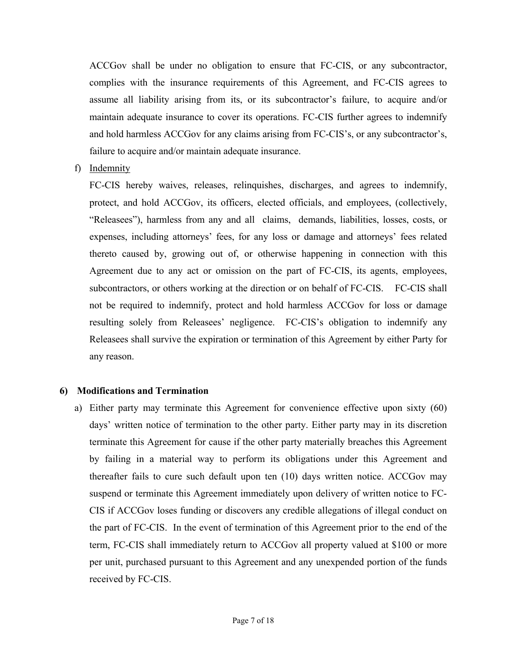ACCGov shall be under no obligation to ensure that FC-CIS, or any subcontractor, complies with the insurance requirements of this Agreement, and FC-CIS agrees to assume all liability arising from its, or its subcontractor's failure, to acquire and/or maintain adequate insurance to cover its operations. FC-CIS further agrees to indemnify and hold harmless ACCGov for any claims arising from FC-CIS's, or any subcontractor's, failure to acquire and/or maintain adequate insurance.

f) Indemnity

FC-CIS hereby waives, releases, relinquishes, discharges, and agrees to indemnify, protect, and hold ACCGov, its officers, elected officials, and employees, (collectively, "Releasees"), harmless from any and all claims, demands, liabilities, losses, costs, or expenses, including attorneys' fees, for any loss or damage and attorneys' fees related thereto caused by, growing out of, or otherwise happening in connection with this Agreement due to any act or omission on the part of FC-CIS, its agents, employees, subcontractors, or others working at the direction or on behalf of FC-CIS. FC-CIS shall not be required to indemnify, protect and hold harmless ACCGov for loss or damage resulting solely from Releasees' negligence. FC-CIS's obligation to indemnify any Releasees shall survive the expiration or termination of this Agreement by either Party for any reason.

#### **6) Modifications and Termination**

a) Either party may terminate this Agreement for convenience effective upon sixty (60) days' written notice of termination to the other party. Either party may in its discretion terminate this Agreement for cause if the other party materially breaches this Agreement by failing in a material way to perform its obligations under this Agreement and thereafter fails to cure such default upon ten (10) days written notice. ACCGov may suspend or terminate this Agreement immediately upon delivery of written notice to FC-CIS if ACCGov loses funding or discovers any credible allegations of illegal conduct on the part of FC-CIS. In the event of termination of this Agreement prior to the end of the term, FC-CIS shall immediately return to ACCGov all property valued at \$100 or more per unit, purchased pursuant to this Agreement and any unexpended portion of the funds received by FC-CIS.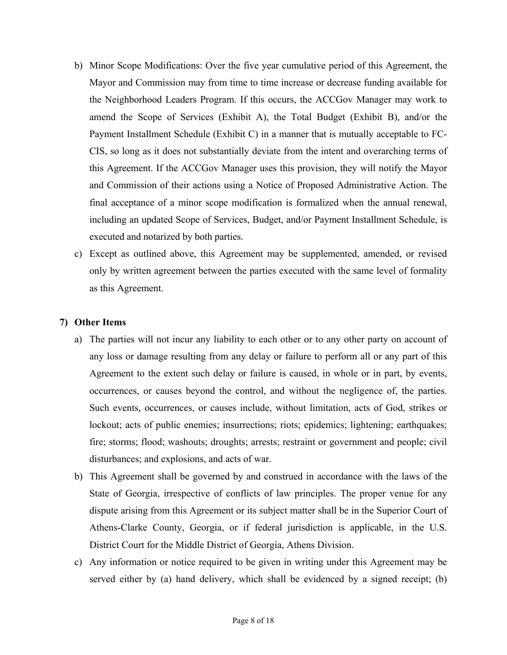- b) Minor Scope Modifications: Over the five year cumulative period of this Agreement, the Mayor and Commission may from time to time increase or decrease funding available for the Neighborhood Leaders Program. If this occurs, the ACCGov Manager may work to amend the Scope of Services (Exhibit A), the Total Budget (Exhibit B), and/or the Payment Installment Schedule (Exhibit C) in a manner that is mutually acceptable to FC-CIS, so long as it does not substantially deviate from the intent and overarching terms of this Agreement. If the ACCGov Manager uses this provision, they will notify the Mayor and Commission of their actions using a Notice of Proposed Administrative Action. The final acceptance of a minor scope modification is formalized when the annual renewal, including an updated Scope of Services, Budget, and/or Payment Installment Schedule, is executed and notarized by both parties.
- c) Except as outlined above, this Agreement may be supplemented, amended, or revised only by written agreement between the parties executed with the same level of formality as this Agreement.

### **7) Other Items**

- a) The parties will not incur any liability to each other or to any other party on account of any loss or damage resulting from any delay or failure to perform all or any part of this Agreement to the extent such delay or failure is caused, in whole or in part, by events, occurrences, or causes beyond the control, and without the negligence of, the parties. Such events, occurrences, or causes include, without limitation, acts of God, strikes or lockout; acts of public enemies; insurrections; riots; epidemics; lightening; earthquakes; fire; storms; flood; washouts; droughts; arrests; restraint or government and people; civil disturbances; and explosions, and acts of war.
- b) This Agreement shall be governed by and construed in accordance with the laws of the State of Georgia, irrespective of conflicts of law principles. The proper venue for any dispute arising from this Agreement or its subject matter shall be in the Superior Court of Athens-Clarke County, Georgia, or if federal jurisdiction is applicable, in the U.S. District Court for the Middle District of Georgia, Athens Division.
- c) Any information or notice required to be given in writing under this Agreement may be served either by (a) hand delivery, which shall be evidenced by a signed receipt; (b)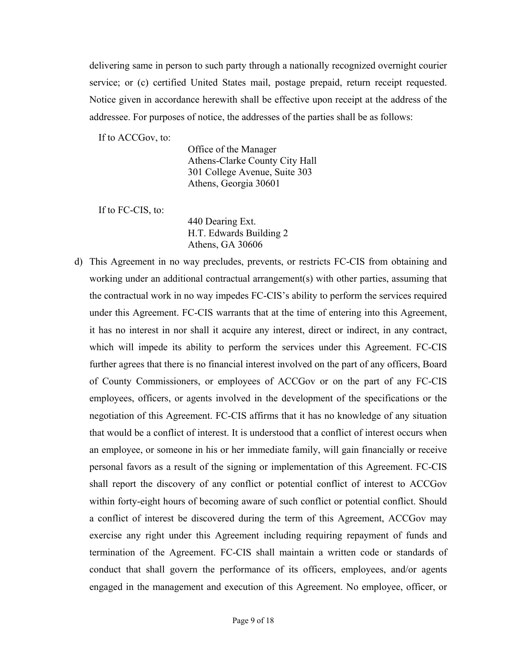delivering same in person to such party through a nationally recognized overnight courier service; or (c) certified United States mail, postage prepaid, return receipt requested. Notice given in accordance herewith shall be effective upon receipt at the address of the addressee. For purposes of notice, the addresses of the parties shall be as follows:

If to ACCGov, to:

Office of the Manager Athens-Clarke County City Hall 301 College Avenue, Suite 303 Athens, Georgia 30601

If to FC-CIS, to:

440 Dearing Ext. H.T. Edwards Building 2 Athens, GA 30606

d) This Agreement in no way precludes, prevents, or restricts FC-CIS from obtaining and working under an additional contractual arrangement(s) with other parties, assuming that the contractual work in no way impedes FC-CIS's ability to perform the services required under this Agreement. FC-CIS warrants that at the time of entering into this Agreement, it has no interest in nor shall it acquire any interest, direct or indirect, in any contract, which will impede its ability to perform the services under this Agreement. FC-CIS further agrees that there is no financial interest involved on the part of any officers, Board of County Commissioners, or employees of ACCGov or on the part of any FC-CIS employees, officers, or agents involved in the development of the specifications or the negotiation of this Agreement. FC-CIS affirms that it has no knowledge of any situation that would be a conflict of interest. It is understood that a conflict of interest occurs when an employee, or someone in his or her immediate family, will gain financially or receive personal favors as a result of the signing or implementation of this Agreement. FC-CIS shall report the discovery of any conflict or potential conflict of interest to ACCGov within forty-eight hours of becoming aware of such conflict or potential conflict. Should a conflict of interest be discovered during the term of this Agreement, ACCGov may exercise any right under this Agreement including requiring repayment of funds and termination of the Agreement. FC-CIS shall maintain a written code or standards of conduct that shall govern the performance of its officers, employees, and/or agents engaged in the management and execution of this Agreement. No employee, officer, or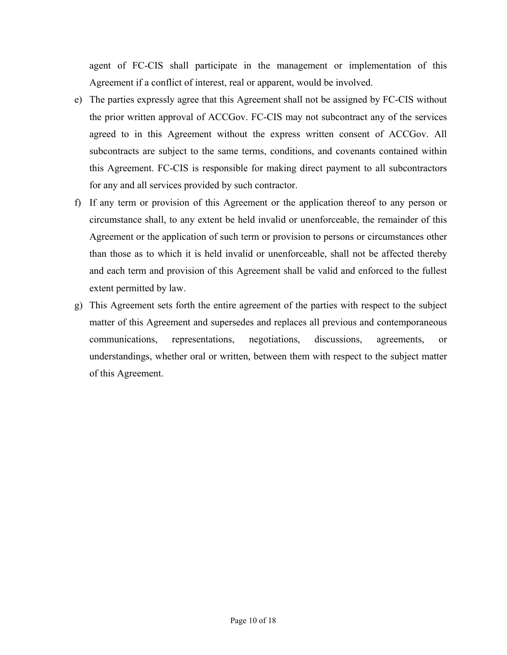agent of FC-CIS shall participate in the management or implementation of this Agreement if a conflict of interest, real or apparent, would be involved.

- e) The parties expressly agree that this Agreement shall not be assigned by FC-CIS without the prior written approval of ACCGov. FC-CIS may not subcontract any of the services agreed to in this Agreement without the express written consent of ACCGov. All subcontracts are subject to the same terms, conditions, and covenants contained within this Agreement. FC-CIS is responsible for making direct payment to all subcontractors for any and all services provided by such contractor.
- f) If any term or provision of this Agreement or the application thereof to any person or circumstance shall, to any extent be held invalid or unenforceable, the remainder of this Agreement or the application of such term or provision to persons or circumstances other than those as to which it is held invalid or unenforceable, shall not be affected thereby and each term and provision of this Agreement shall be valid and enforced to the fullest extent permitted by law.
- g) This Agreement sets forth the entire agreement of the parties with respect to the subject matter of this Agreement and supersedes and replaces all previous and contemporaneous communications, representations, negotiations, discussions, agreements, or understandings, whether oral or written, between them with respect to the subject matter of this Agreement.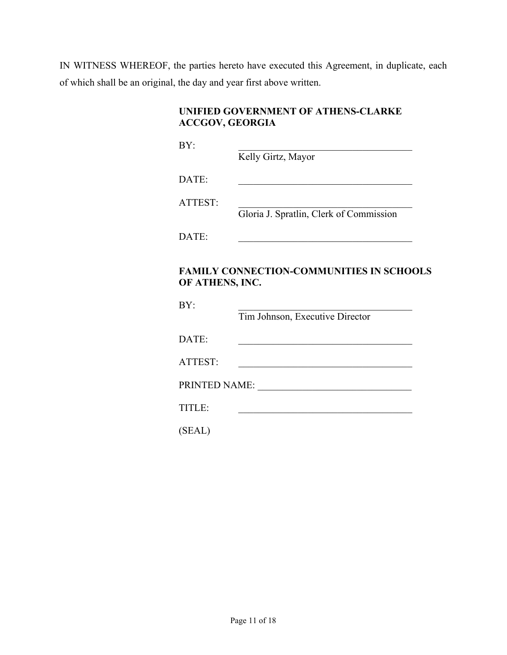IN WITNESS WHEREOF, the parties hereto have executed this Agreement, in duplicate, each of which shall be an original, the day and year first above written.

| UNIFIED GOVERNMENT OF ATHENS-CLARKE |  |
|-------------------------------------|--|
| ACCGOV, GEORGIA                     |  |

 $BY:$ 

Kelly Girtz, Mayor

DATE:

ATTEST: \_\_\_\_\_\_\_\_\_\_\_\_\_\_\_\_\_\_\_\_\_\_\_\_\_\_\_\_\_\_\_\_\_\_\_

Gloria J. Spratlin, Clerk of Commission

DATE:

# **FAMILY CONNECTION-COMMUNITIES IN SCHOOLS OF ATHENS, INC.**

| BY:           | Tim Johnson, Executive Director |
|---------------|---------------------------------|
| DATE:         |                                 |
| ATTEST:       |                                 |
| PRINTED NAME: |                                 |
| TITLE:        |                                 |
| (SEAL)        |                                 |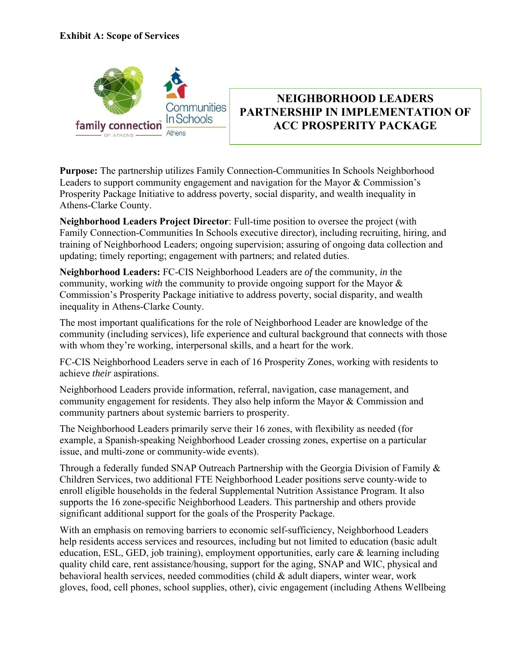

# **NEIGHBORHOOD LEADERS PARTNERSHIP IN IMPLEMENTATION OF ACC PROSPERITY PACKAGE**

**Purpose:** The partnership utilizes Family Connection-Communities In Schools Neighborhood Leaders to support community engagement and navigation for the Mayor & Commission's Prosperity Package Initiative to address poverty, social disparity, and wealth inequality in Athens-Clarke County.

**Neighborhood Leaders Project Director**: Full-time position to oversee the project (with Family Connection-Communities In Schools executive director), including recruiting, hiring, and training of Neighborhood Leaders; ongoing supervision; assuring of ongoing data collection and updating; timely reporting; engagement with partners; and related duties.

**Neighborhood Leaders:** FC-CIS Neighborhood Leaders are *of* the community, *in* the community, working *with* the community to provide ongoing support for the Mayor & Commission's Prosperity Package initiative to address poverty, social disparity, and wealth inequality in Athens-Clarke County.

The most important qualifications for the role of Neighborhood Leader are knowledge of the community (including services), life experience and cultural background that connects with those with whom they're working, interpersonal skills, and a heart for the work.

FC-CIS Neighborhood Leaders serve in each of 16 Prosperity Zones, working with residents to achieve *their* aspirations.

Neighborhood Leaders provide information, referral, navigation, case management, and community engagement for residents. They also help inform the Mayor & Commission and community partners about systemic barriers to prosperity.

The Neighborhood Leaders primarily serve their 16 zones, with flexibility as needed (for example, a Spanish-speaking Neighborhood Leader crossing zones, expertise on a particular issue, and multi-zone or community-wide events).

Through a federally funded SNAP Outreach Partnership with the Georgia Division of Family & Children Services, two additional FTE Neighborhood Leader positions serve county-wide to enroll eligible households in the federal Supplemental Nutrition Assistance Program. It also supports the 16 zone-specific Neighborhood Leaders. This partnership and others provide significant additional support for the goals of the Prosperity Package.

With an emphasis on removing barriers to economic self-sufficiency, Neighborhood Leaders help residents access services and resources, including but not limited to education (basic adult education, ESL, GED, job training), employment opportunities, early care & learning including quality child care, rent assistance/housing, support for the aging, SNAP and WIC, physical and behavioral health services, needed commodities (child & adult diapers, winter wear, work gloves, food, cell phones, school supplies, other), civic engagement (including Athens Wellbeing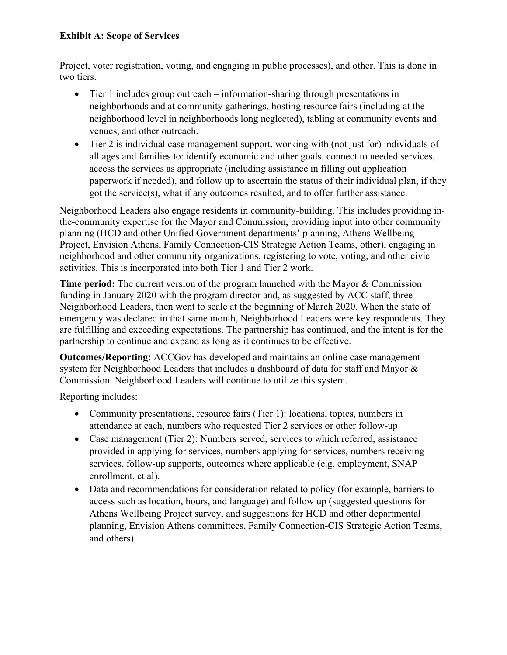# **Exhibit A: Scope of Services**

Project, voter registration, voting, and engaging in public processes), and other. This is done in two tiers.

- Tier 1 includes group outreach information-sharing through presentations in neighborhoods and at community gatherings, hosting resource fairs (including at the neighborhood level in neighborhoods long neglected), tabling at community events and venues, and other outreach.
- Tier 2 is individual case management support, working with (not just for) individuals of all ages and families to: identify economic and other goals, connect to needed services, access the services as appropriate (including assistance in filling out application paperwork if needed), and follow up to ascertain the status of their individual plan, if they got the service(s), what if any outcomes resulted, and to offer further assistance.

Neighborhood Leaders also engage residents in community-building. This includes providing inthe-community expertise for the Mayor and Commission, providing input into other community planning (HCD and other Unified Government departments' planning, Athens Wellbeing Project, Envision Athens, Family Connection-CIS Strategic Action Teams, other), engaging in neighborhood and other community organizations, registering to vote, voting, and other civic activities. This is incorporated into both Tier 1 and Tier 2 work.

**Time period:** The current version of the program launched with the Mayor & Commission funding in January 2020 with the program director and, as suggested by ACC staff, three Neighborhood Leaders, then went to scale at the beginning of March 2020. When the state of emergency was declared in that same month, Neighborhood Leaders were key respondents. They are fulfilling and exceeding expectations. The partnership has continued, and the intent is for the partnership to continue and expand as long as it continues to be effective.

**Outcomes/Reporting:** ACCGov has developed and maintains an online case management system for Neighborhood Leaders that includes a dashboard of data for staff and Mayor & Commission. Neighborhood Leaders will continue to utilize this system.

Reporting includes:

- Community presentations, resource fairs (Tier 1): locations, topics, numbers in attendance at each, numbers who requested Tier 2 services or other follow-up
- Case management (Tier 2): Numbers served, services to which referred, assistance provided in applying for services, numbers applying for services, numbers receiving services, follow-up supports, outcomes where applicable (e.g. employment, SNAP enrollment, et al).
- Data and recommendations for consideration related to policy (for example, barriers to access such as location, hours, and language) and follow up (suggested questions for Athens Wellbeing Project survey, and suggestions for HCD and other departmental planning, Envision Athens committees, Family Connection-CIS Strategic Action Teams, and others).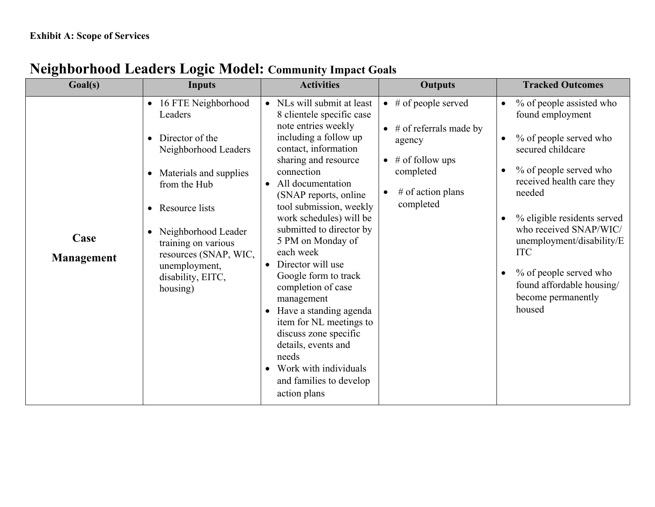| Goal(s)                   | Inputs                                                                                                                                                                                                                                                                                                    | <b>Activities</b>                                                                                                                                                                                                                                                                                                                                                                                                                                                                                                                                                                                                                               | <b>Outputs</b>                                                                                                                                                           | <b>Tracked Outcomes</b>                                                                                                                                                                                                                                                                                                                                              |
|---------------------------|-----------------------------------------------------------------------------------------------------------------------------------------------------------------------------------------------------------------------------------------------------------------------------------------------------------|-------------------------------------------------------------------------------------------------------------------------------------------------------------------------------------------------------------------------------------------------------------------------------------------------------------------------------------------------------------------------------------------------------------------------------------------------------------------------------------------------------------------------------------------------------------------------------------------------------------------------------------------------|--------------------------------------------------------------------------------------------------------------------------------------------------------------------------|----------------------------------------------------------------------------------------------------------------------------------------------------------------------------------------------------------------------------------------------------------------------------------------------------------------------------------------------------------------------|
| Case<br><b>Management</b> | • 16 FTE Neighborhood<br>Leaders<br>Director of the<br>$\bullet$<br>Neighborhood Leaders<br>• Materials and supplies<br>from the Hub<br>Resource lists<br>$\bullet$<br>Neighborhood Leader<br>$\bullet$<br>training on various<br>resources (SNAP, WIC,<br>unemployment,<br>disability, EITC,<br>housing) | NLs will submit at least<br>8 clientele specific case<br>note entries weekly<br>including a follow up<br>contact, information<br>sharing and resource<br>connection<br>All documentation<br>$\bullet$<br>(SNAP reports, online<br>tool submission, weekly<br>work schedules) will be<br>submitted to director by<br>5 PM on Monday of<br>each week<br>Director will use<br>Google form to track<br>completion of case<br>management<br>Have a standing agenda<br>$\bullet$<br>item for NL meetings to<br>discuss zone specific<br>details, events and<br>needs<br>Work with individuals<br>$\bullet$<br>and families to develop<br>action plans | $\bullet$ # of people served<br>$\bullet$ # of referrals made by<br>agency<br>$#$ of follow ups<br>$\bullet$<br>completed<br># of action plans<br>$\bullet$<br>completed | % of people assisted who<br>found employment<br>% of people served who<br>$\bullet$<br>secured childcare<br>% of people served who<br>received health care they<br>needed<br>% eligible residents served<br>who received SNAP/WIC/<br>unemployment/disability/E<br><b>ITC</b><br>% of people served who<br>found affordable housing/<br>become permanently<br>housed |

# **Neighborhood Leaders Logic Model: Community Impact Goals**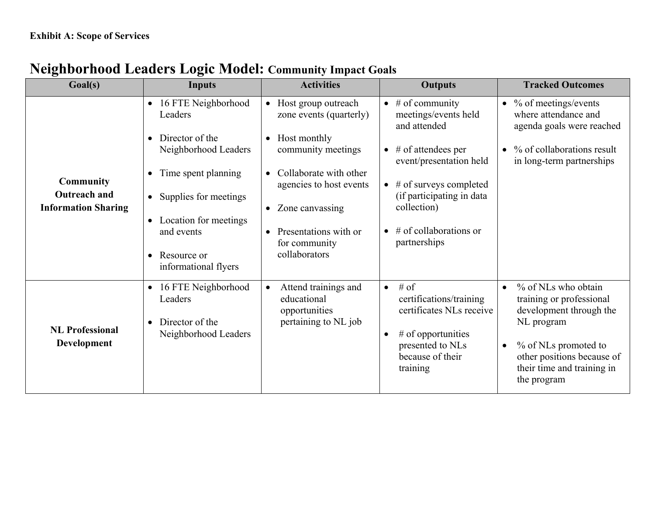| Goal(s)                                                               | <b>Inputs</b>                                                                                                                                                                                                                                                                         | <b>Activities</b>                                                                                                                                                                                                                          | <b>Outputs</b>                                                                                                                                                                                                                                           | <b>Tracked Outcomes</b>                                                                                                                                                                                               |
|-----------------------------------------------------------------------|---------------------------------------------------------------------------------------------------------------------------------------------------------------------------------------------------------------------------------------------------------------------------------------|--------------------------------------------------------------------------------------------------------------------------------------------------------------------------------------------------------------------------------------------|----------------------------------------------------------------------------------------------------------------------------------------------------------------------------------------------------------------------------------------------------------|-----------------------------------------------------------------------------------------------------------------------------------------------------------------------------------------------------------------------|
| <b>Community</b><br><b>Outreach and</b><br><b>Information Sharing</b> | 16 FTE Neighborhood<br>$\bullet$<br>Leaders<br>Director of the<br>$\bullet$<br>Neighborhood Leaders<br>Time spent planning<br>$\bullet$<br>Supplies for meetings<br>$\bullet$<br>Location for meetings<br>$\bullet$<br>and events<br>Resource or<br>$\bullet$<br>informational flyers | Host group outreach<br>$\bullet$<br>zone events (quarterly)<br>• Host monthly<br>community meetings<br>• Collaborate with other<br>agencies to host events<br>• Zone canvassing<br>Presentations with or<br>for community<br>collaborators | $\bullet$ # of community<br>meetings/events held<br>and attended<br>$\bullet$ # of attendees per<br>event/presentation held<br>$\bullet$ # of surveys completed<br>(if participating in data<br>collection)<br>$\#$ of collaborations or<br>partnerships | $\bullet$ % of meetings/events<br>where attendance and<br>agenda goals were reached<br>% of collaborations result<br>$\bullet$<br>in long-term partnerships                                                           |
| <b>NL Professional</b><br><b>Development</b>                          | 16 FTE Neighborhood<br>$\bullet$<br>Leaders<br>Director of the<br>$\bullet$<br>Neighborhood Leaders                                                                                                                                                                                   | Attend trainings and<br>$\bullet$<br>educational<br>opportunities<br>pertaining to NL job                                                                                                                                                  | # of<br>$\bullet$<br>certifications/training<br>certificates NLs receive<br>$#$ of opportunities<br>$\bullet$<br>presented to NLs<br>because of their<br>training                                                                                        | % of NLs who obtain<br>$\bullet$<br>training or professional<br>development through the<br>NL program<br>% of NLs promoted to<br>$\bullet$<br>other positions because of<br>their time and training in<br>the program |

# **Neighborhood Leaders Logic Model: Community Impact Goals**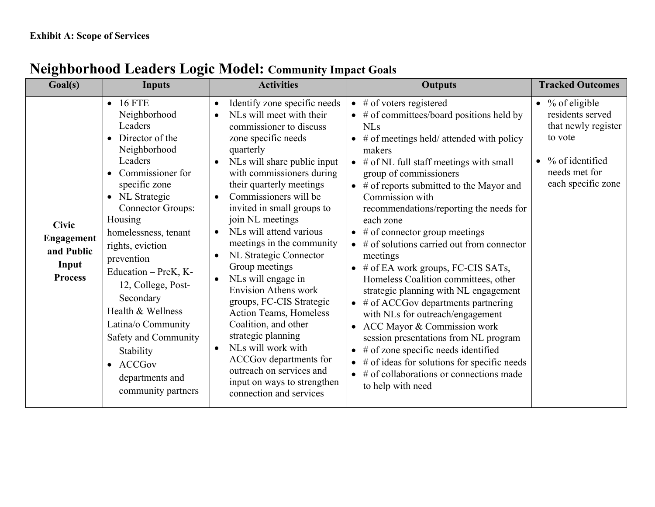| Goal(s)                                                                    | Inputs                                                                                                                                                                                                                                                                                                                                                                                                                                                         | <b>Activities</b>                                                                                                                                                                                                                                                                                                                                                                                                                                                                                                                                                                                                                                                                                                                                        | <b>Outputs</b>                                                                                                                                                                                                                                                                                                                                                                                                                                                                                                                                                                                                                                                                                                                                                                                                                                                                                                                                                          | <b>Tracked Outcomes</b>                                                                                                                           |  |
|----------------------------------------------------------------------------|----------------------------------------------------------------------------------------------------------------------------------------------------------------------------------------------------------------------------------------------------------------------------------------------------------------------------------------------------------------------------------------------------------------------------------------------------------------|----------------------------------------------------------------------------------------------------------------------------------------------------------------------------------------------------------------------------------------------------------------------------------------------------------------------------------------------------------------------------------------------------------------------------------------------------------------------------------------------------------------------------------------------------------------------------------------------------------------------------------------------------------------------------------------------------------------------------------------------------------|-------------------------------------------------------------------------------------------------------------------------------------------------------------------------------------------------------------------------------------------------------------------------------------------------------------------------------------------------------------------------------------------------------------------------------------------------------------------------------------------------------------------------------------------------------------------------------------------------------------------------------------------------------------------------------------------------------------------------------------------------------------------------------------------------------------------------------------------------------------------------------------------------------------------------------------------------------------------------|---------------------------------------------------------------------------------------------------------------------------------------------------|--|
| <b>Civic</b><br><b>Engagement</b><br>and Public<br>Input<br><b>Process</b> | $-16$ FTE<br>Neighborhood<br>Leaders<br>Director of the<br>Neighborhood<br>Leaders<br>Commissioner for<br>specific zone<br>NL Strategic<br><b>Connector Groups:</b><br>$Housing -$<br>homelessness, tenant<br>rights, eviction<br>prevention<br>Education – PreK, K-<br>12, College, Post-<br>Secondary<br>Health & Wellness<br>Latina/o Community<br>Safety and Community<br>Stability<br><b>ACCGov</b><br>$\bullet$<br>departments and<br>community partners | Identify zone specific needs<br>$\bullet$<br>NLs will meet with their<br>$\bullet$<br>commissioner to discuss<br>zone specific needs<br>quarterly<br>NLs will share public input<br>with commissioners during<br>their quarterly meetings<br>Commissioners will be<br>invited in small groups to<br>join NL meetings<br>NLs will attend various<br>meetings in the community<br>NL Strategic Connector<br>$\bullet$<br>Group meetings<br>NLs will engage in<br><b>Envision Athens work</b><br>groups, FC-CIS Strategic<br><b>Action Teams, Homeless</b><br>Coalition, and other<br>strategic planning<br>NLs will work with<br>$\bullet$<br>ACCGov departments for<br>outreach on services and<br>input on ways to strengthen<br>connection and services | $\bullet$ # of voters registered<br>$\bullet$ # of committees/board positions held by<br><b>NLs</b><br>$\bullet$ # of meetings held/ attended with policy<br>makers<br>$\bullet$ # of NL full staff meetings with small<br>group of commissioners<br>$\bullet$ # of reports submitted to the Mayor and<br>Commission with<br>recommendations/reporting the needs for<br>each zone<br>$\bullet$ # of connector group meetings<br>$\bullet$ # of solutions carried out from connector<br>meetings<br>$\bullet$ # of EA work groups, FC-CIS SATs,<br>Homeless Coalition committees, other<br>strategic planning with NL engagement<br>$\bullet$ # of ACCGov departments partnering<br>with NLs for outreach/engagement<br>• ACC Mayor & Commission work<br>session presentations from NL program<br># of zone specific needs identified<br>$\bullet$ # of ideas for solutions for specific needs<br>$\bullet$ # of collaborations or connections made<br>to help with need | $\bullet$ % of eligible<br>residents served<br>that newly register<br>to vote<br>$\bullet$ % of identified<br>needs met for<br>each specific zone |  |

# **Neighborhood Leaders Logic Model: Community Impact Goals**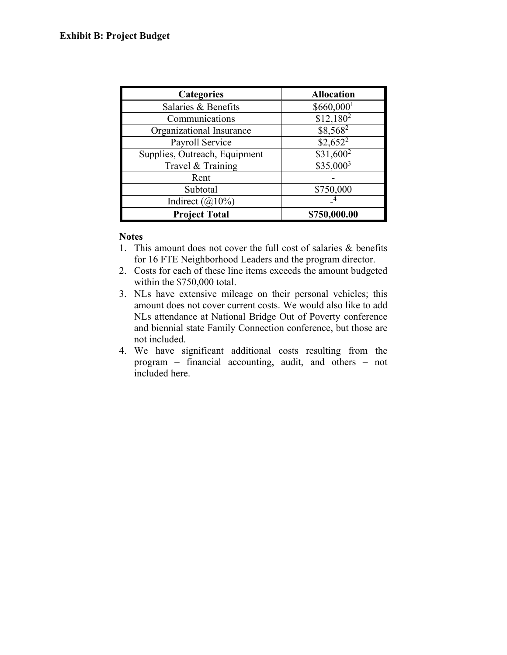| <b>Categories</b>             | <b>Allocation</b>       |
|-------------------------------|-------------------------|
| Salaries & Benefits           | $$660,000$ <sup>1</sup> |
| Communications                | $$12,180^2$             |
| Organizational Insurance      | \$8,5682                |
| Payroll Service               | $$2,652^2$              |
| Supplies, Outreach, Equipment | $$31,600^2$             |
| Travel & Training             | $$35,000^3$             |
| Rent                          |                         |
| Subtotal                      | \$750,000               |
| Indirect $(a)10\%$            |                         |
| <b>Project Total</b>          | \$750,000.00            |

### **Notes**

- 1. This amount does not cover the full cost of salaries & benefits for 16 FTE Neighborhood Leaders and the program director.
- 2. Costs for each of these line items exceeds the amount budgeted within the \$750,000 total.
- 3. NLs have extensive mileage on their personal vehicles; this amount does not cover current costs. We would also like to add NLs attendance at National Bridge Out of Poverty conference and biennial state Family Connection conference, but those are not included.
- 4. We have significant additional costs resulting from the program – financial accounting, audit, and others – not included here.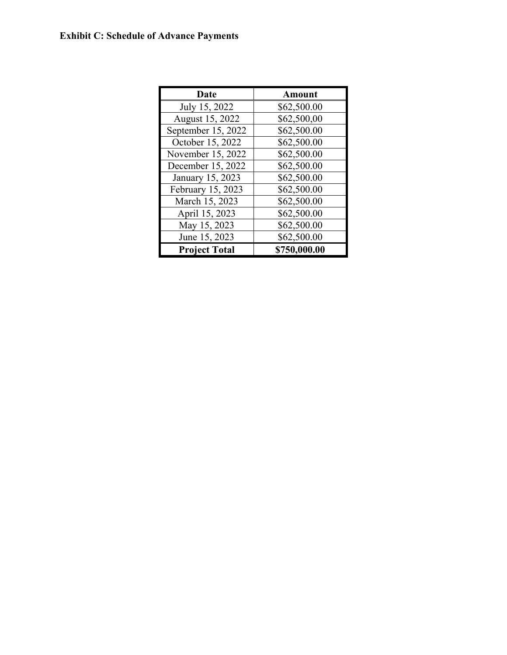# **Exhibit C: Schedule of Advance Payments**

| <b>Date</b>          | <b>Amount</b> |
|----------------------|---------------|
| July 15, 2022        | \$62,500.00   |
| August 15, 2022      | \$62,500,00   |
| September 15, 2022   | \$62,500.00   |
| October 15, 2022     | \$62,500.00   |
| November 15, 2022    | \$62,500.00   |
| December 15, 2022    | \$62,500.00   |
| January 15, 2023     | \$62,500.00   |
| February 15, 2023    | \$62,500.00   |
| March 15, 2023       | \$62,500.00   |
| April 15, 2023       | \$62,500.00   |
| May 15, 2023         | \$62,500.00   |
| June 15, 2023        | \$62,500.00   |
| <b>Project Total</b> | \$750,000.00  |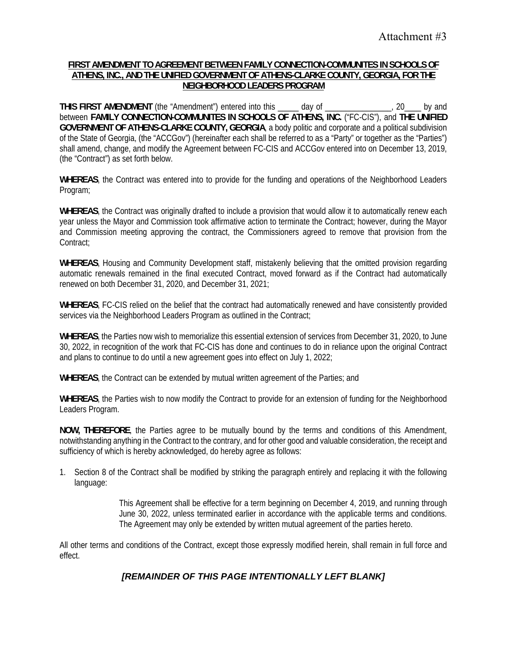#### **FIRST AMENDMENT TO AGREEMENT BETWEEN FAMILY CONNECTION-COMMUNITES IN SCHOOLS OF ATHENS, INC., AND THE UNIFIED GOVERNMENT OF ATHENS-CLARKE COUNTY, GEORGIA, FOR THE NEIGHBORHOOD LEADERS PROGRAM**

**THIS FIRST AMENDMENT** (the "Amendment") entered into this \_\_\_\_\_ day of \_\_\_\_\_\_\_\_\_\_\_\_\_\_\_\_, 20\_\_\_\_ by and between **FAMILY CONNECTION-COMMUNITES IN SCHOOLS OF ATHENS, INC.** ("FC-CIS"), and **THE UNIFIED GOVERNMENT OF ATHENS-CLARKE COUNTY, GEORGIA**, a body politic and corporate and a political subdivision of the State of Georgia, (the "ACCGov") (hereinafter each shall be referred to as a "Party" or together as the "Parties") shall amend, change, and modify the Agreement between FC-CIS and ACCGov entered into on December 13, 2019, (the "Contract") as set forth below.

**WHEREAS**, the Contract was entered into to provide for the funding and operations of the Neighborhood Leaders Program;

**WHEREAS**, the Contract was originally drafted to include a provision that would allow it to automatically renew each year unless the Mayor and Commission took affirmative action to terminate the Contract; however, during the Mayor and Commission meeting approving the contract, the Commissioners agreed to remove that provision from the Contract:

**WHEREAS**, Housing and Community Development staff, mistakenly believing that the omitted provision regarding automatic renewals remained in the final executed Contract, moved forward as if the Contract had automatically renewed on both December 31, 2020, and December 31, 2021;

**WHEREAS**, FC-CIS relied on the belief that the contract had automatically renewed and have consistently provided services via the Neighborhood Leaders Program as outlined in the Contract;

**WHEREAS**, the Parties now wish to memorialize this essential extension of services from December 31, 2020, to June 30, 2022, in recognition of the work that FC-CIS has done and continues to do in reliance upon the original Contract and plans to continue to do until a new agreement goes into effect on July 1, 2022;

**WHEREAS**, the Contract can be extended by mutual written agreement of the Parties; and

**WHEREAS**, the Parties wish to now modify the Contract to provide for an extension of funding for the Neighborhood Leaders Program.

**NOW, THEREFORE**, the Parties agree to be mutually bound by the terms and conditions of this Amendment, notwithstanding anything in the Contract to the contrary, and for other good and valuable consideration, the receipt and sufficiency of which is hereby acknowledged, do hereby agree as follows:

1. Section 8 of the Contract shall be modified by striking the paragraph entirely and replacing it with the following language:

> This Agreement shall be effective for a term beginning on December 4, 2019, and running through June 30, 2022, unless terminated earlier in accordance with the applicable terms and conditions. The Agreement may only be extended by written mutual agreement of the parties hereto.

All other terms and conditions of the Contract, except those expressly modified herein, shall remain in full force and effect.

# *[REMAINDER OF THIS PAGE INTENTIONALLY LEFT BLANK]*